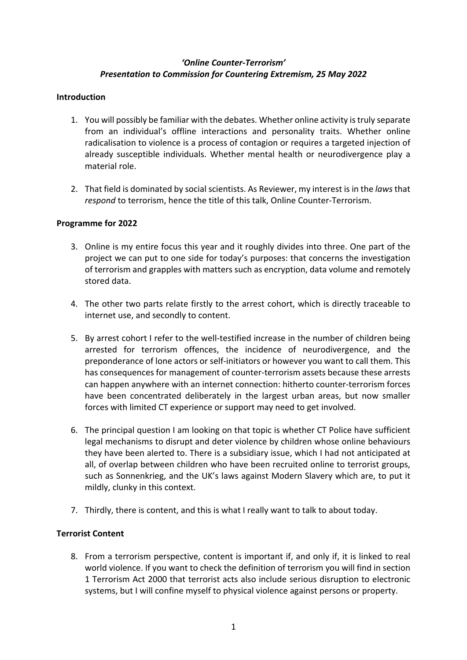## *'Online Counter-Terrorism' Presentation to Commission for Countering Extremism, 25 May 2022*

# **Introduction**

- 1. You will possibly be familiar with the debates. Whether online activity istruly separate from an individual's offline interactions and personality traits. Whether online radicalisation to violence is a process of contagion or requires a targeted injection of already susceptible individuals. Whether mental health or neurodivergence play a material role.
- 2. That field is dominated by social scientists. As Reviewer, my interest is in the *laws* that *respond* to terrorism, hence the title of this talk, Online Counter-Terrorism.

## **Programme for 2022**

- 3. Online is my entire focus this year and it roughly divides into three. One part of the project we can put to one side for today's purposes: that concerns the investigation of terrorism and grapples with matters such as encryption, data volume and remotely stored data.
- 4. The other two parts relate firstly to the arrest cohort, which is directly traceable to internet use, and secondly to content.
- 5. By arrest cohort I refer to the well-testified increase in the number of children being arrested for terrorism offences, the incidence of neurodivergence, and the preponderance of lone actors or self-initiators or however you want to call them. This has consequences for management of counter-terrorism assets because these arrests can happen anywhere with an internet connection: hitherto counter-terrorism forces have been concentrated deliberately in the largest urban areas, but now smaller forces with limited CT experience or support may need to get involved.
- 6. The principal question I am looking on that topic is whether CT Police have sufficient legal mechanisms to disrupt and deter violence by children whose online behaviours they have been alerted to. There is a subsidiary issue, which I had not anticipated at all, of overlap between children who have been recruited online to terrorist groups, such as Sonnenkrieg, and the UK's laws against Modern Slavery which are, to put it mildly, clunky in this context.
- 7. Thirdly, there is content, and this is what I really want to talk to about today.

## **Terrorist Content**

8. From a terrorism perspective, content is important if, and only if, it is linked to real world violence. If you want to check the definition of terrorism you will find in section 1 Terrorism Act 2000 that terrorist acts also include serious disruption to electronic systems, but I will confine myself to physical violence against persons or property.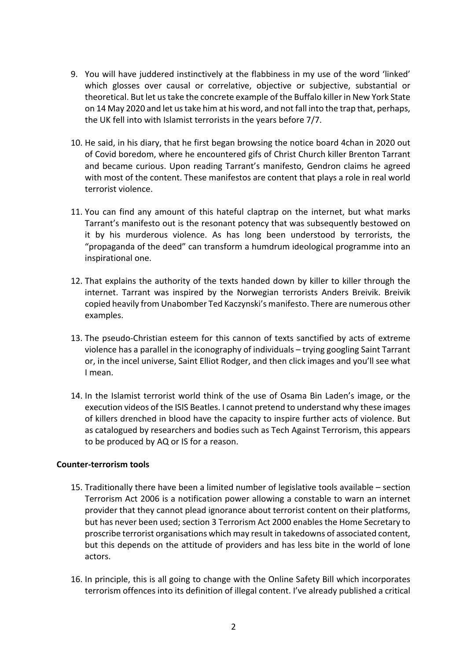- 9. You will have juddered instinctively at the flabbiness in my use of the word 'linked' which glosses over causal or correlative, objective or subjective, substantial or theoretical. But let us take the concrete example of the Buffalo killer in New York State on 14 May 2020 and let us take him at his word, and not fall into the trap that, perhaps, the UK fell into with Islamist terrorists in the years before 7/7.
- 10. He said, in his diary, that he first began browsing the notice board 4chan in 2020 out of Covid boredom, where he encountered gifs of Christ Church killer Brenton Tarrant and became curious. Upon reading Tarrant's manifesto, Gendron claims he agreed with most of the content. These manifestos are content that plays a role in real world terrorist violence.
- 11. You can find any amount of this hateful claptrap on the internet, but what marks Tarrant's manifesto out is the resonant potency that was subsequently bestowed on it by his murderous violence. As has long been understood by terrorists, the "propaganda of the deed" can transform a humdrum ideological programme into an inspirational one.
- 12. That explains the authority of the texts handed down by killer to killer through the internet. Tarrant was inspired by the Norwegian terrorists Anders Breivik. Breivik copied heavily from Unabomber Ted Kaczynski's manifesto. There are numerous other examples.
- 13. The pseudo-Christian esteem for this cannon of texts sanctified by acts of extreme violence has a parallel in the iconography of individuals – trying googling Saint Tarrant or, in the incel universe, Saint Elliot Rodger, and then click images and you'll see what I mean.
- 14. In the Islamist terrorist world think of the use of Osama Bin Laden's image, or the execution videos of the ISIS Beatles. I cannot pretend to understand why these images of killers drenched in blood have the capacity to inspire further acts of violence. But as catalogued by researchers and bodies such as Tech Against Terrorism, this appears to be produced by AQ or IS for a reason.

#### **Counter-terrorism tools**

- 15. Traditionally there have been a limited number of legislative tools available section Terrorism Act 2006 is a notification power allowing a constable to warn an internet provider that they cannot plead ignorance about terrorist content on their platforms, but has never been used; section 3 Terrorism Act 2000 enables the Home Secretary to proscribe terrorist organisations which may result in takedowns of associated content, but this depends on the attitude of providers and has less bite in the world of lone actors.
- 16. In principle, this is all going to change with the Online Safety Bill which incorporates terrorism offences into its definition of illegal content. I've already published a critical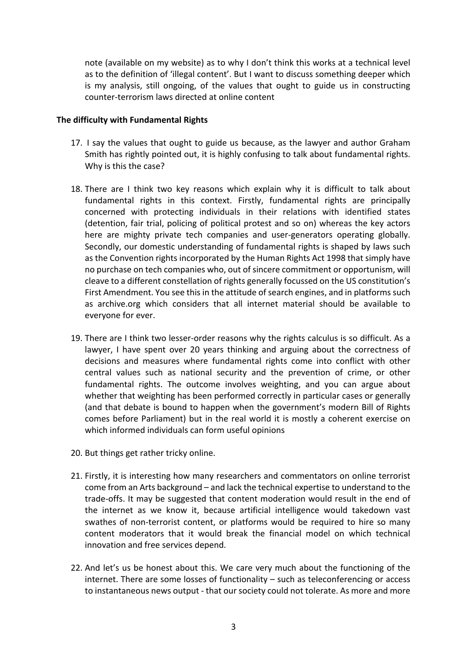note (available on my website) as to why I don't think this works at a technical level as to the definition of 'illegal content'. But I want to discuss something deeper which is my analysis, still ongoing, of the values that ought to guide us in constructing counter-terrorism laws directed at online content

#### **The difficulty with Fundamental Rights**

- 17. I say the values that ought to guide us because, as the lawyer and author Graham Smith has rightly pointed out, it is highly confusing to talk about fundamental rights. Why is this the case?
- 18. There are I think two key reasons which explain why it is difficult to talk about fundamental rights in this context. Firstly, fundamental rights are principally concerned with protecting individuals in their relations with identified states (detention, fair trial, policing of political protest and so on) whereas the key actors here are mighty private tech companies and user-generators operating globally. Secondly, our domestic understanding of fundamental rights is shaped by laws such as the Convention rights incorporated by the Human Rights Act 1998 that simply have no purchase on tech companies who, out of sincere commitment or opportunism, will cleave to a different constellation of rights generally focussed on the US constitution's First Amendment. You see this in the attitude of search engines, and in platforms such as archive.org which considers that all internet material should be available to everyone for ever.
- 19. There are I think two lesser-order reasons why the rights calculus is so difficult. As a lawyer, I have spent over 20 years thinking and arguing about the correctness of decisions and measures where fundamental rights come into conflict with other central values such as national security and the prevention of crime, or other fundamental rights. The outcome involves weighting, and you can argue about whether that weighting has been performed correctly in particular cases or generally (and that debate is bound to happen when the government's modern Bill of Rights comes before Parliament) but in the real world it is mostly a coherent exercise on which informed individuals can form useful opinions
- 20. But things get rather tricky online.
- 21. Firstly, it is interesting how many researchers and commentators on online terrorist come from an Arts background – and lack the technical expertise to understand to the trade-offs. It may be suggested that content moderation would result in the end of the internet as we know it, because artificial intelligence would takedown vast swathes of non-terrorist content, or platforms would be required to hire so many content moderators that it would break the financial model on which technical innovation and free services depend.
- 22. And let's us be honest about this. We care very much about the functioning of the internet. There are some losses of functionality – such as teleconferencing or access to instantaneous news output - that our society could not tolerate. As more and more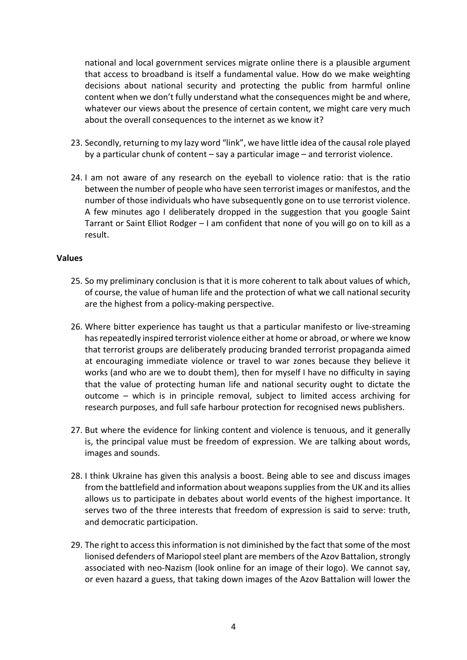national and local government services migrate online there is a plausible argument that access to broadband is itself a fundamental value. How do we make weighting decisions about national security and protecting the public from harmful online content when we don't fully understand what the consequences might be and where, whatever our views about the presence of certain content, we might care very much about the overall consequences to the internet as we know it?

- 23. Secondly, returning to my lazy word "link", we have little idea of the causal role played by a particular chunk of content – say a particular image – and terrorist violence.
- 24. I am not aware of any research on the eyeball to violence ratio: that is the ratio between the number of people who have seen terrorist images or manifestos, and the number of those individuals who have subsequently gone on to use terrorist violence. A few minutes ago I deliberately dropped in the suggestion that you google Saint Tarrant or Saint Elliot Rodger – I am confident that none of you will go on to kill as a result.

#### **Values**

- 25. So my preliminary conclusion is that it is more coherent to talk about values of which, of course, the value of human life and the protection of what we call national security are the highest from a policy-making perspective.
- 26. Where bitter experience has taught us that a particular manifesto or live-streaming has repeatedly inspired terrorist violence either at home or abroad, or where we know that terrorist groups are deliberately producing branded terrorist propaganda aimed at encouraging immediate violence or travel to war zones because they believe it works (and who are we to doubt them), then for myself I have no difficulty in saying that the value of protecting human life and national security ought to dictate the outcome – which is in principle removal, subject to limited access archiving for research purposes, and full safe harbour protection for recognised news publishers.
- 27. But where the evidence for linking content and violence is tenuous, and it generally is, the principal value must be freedom of expression. We are talking about words, images and sounds.
- 28. I think Ukraine has given this analysis a boost. Being able to see and discuss images from the battlefield and information about weapons supplies from the UK and its allies allows us to participate in debates about world events of the highest importance. It serves two of the three interests that freedom of expression is said to serve: truth, and democratic participation.
- 29. The right to access this information is not diminished by the fact that some of the most lionised defenders of Mariopol steel plant are members of the Azov Battalion, strongly associated with neo-Nazism (look online for an image of their logo). We cannot say, or even hazard a guess, that taking down images of the Azov Battalion will lower the